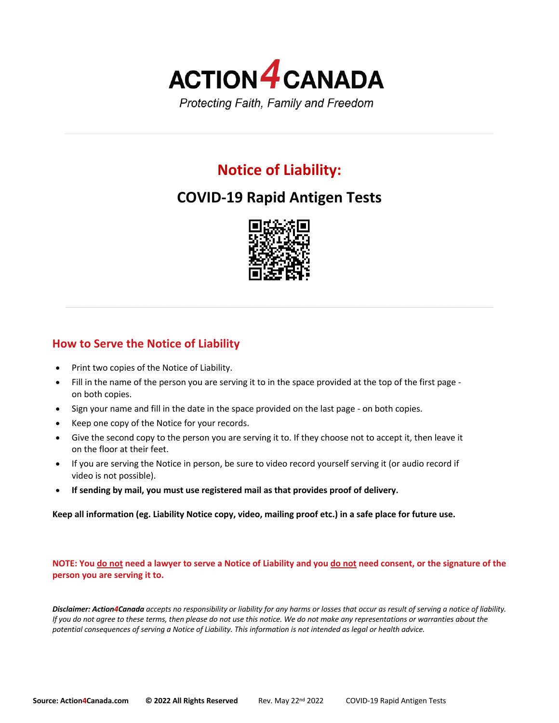

# **Notice of Liability:**

# **COVID-19 Rapid Antigen Tests**



# **How to Serve the Notice of Liability**

- Print two copies of the Notice of Liability.
- Fill in the name of the person you are serving it to in the space provided at the top of the first page on both copies.
- Sign your name and fill in the date in the space provided on the last page on both copies.
- Keep one copy of the Notice for your records.
- Give the second copy to the person you are serving it to. If they choose not to accept it, then leave it on the floor at their feet.
- If you are serving the Notice in person, be sure to video record yourself serving it (or audio record if video is not possible).
- **If sending by mail, you must use registered mail as that provides proof of delivery.**

**Keep all information (eg. Liability Notice copy, video, mailing proof etc.) in a safe place for future use.**

### **NOTE: You do not need a lawyer to serve a Notice of Liability and you do not need consent, or the signature of the person you are serving it to.**

*Disclaimer: Action4Canada accepts no responsibility or liability for any harms or losses that occur as result of serving a notice of liability. If you do not agree to these terms, then please do not use this notice. We do not make any representations or warranties about the potential consequences of serving a Notice of Liability. This information is not intended as legal or health advice.*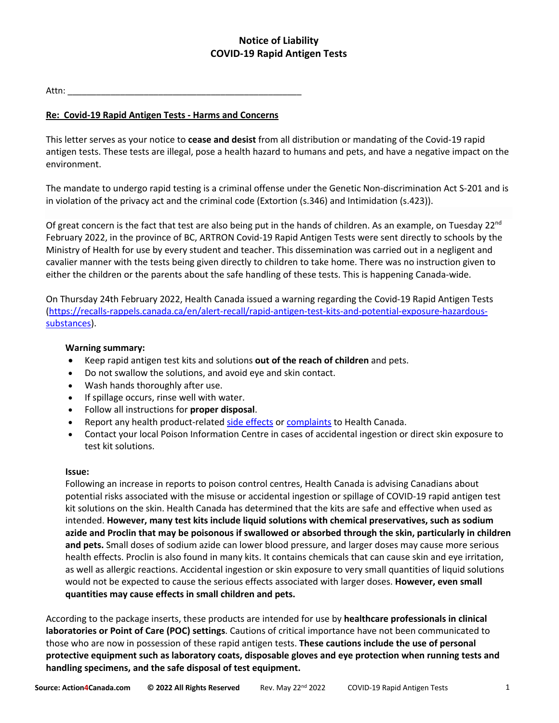# **Notice of Liability COVID-19 Rapid Antigen Tests**

## Attn:

# **Re: Covid-19 Rapid Antigen Tests - Harms and Concerns**

This letter serves as your notice to **cease and desist** from all distribution or mandating of the Covid-19 rapid antigen tests. These tests are illegal, pose a health hazard to humans and pets, and have a negative impact on the environment.

The mandate to undergo rapid testing is a criminal offense under the Genetic Non-discrimination Act S-201 and is in violation of the privacy act and the criminal code (Extortion (s.346) and Intimidation (s.423)).

Of great concern is the fact that test are also being put in the hands of children. As an example, on Tuesday  $22^{nd}$ February 2022, in the province of BC, ARTRON Covid-19 Rapid Antigen Tests were sent directly to schools by the Ministry of Health for use by every student and teacher. This dissemination was carried out in a negligent and cavalier manner with the tests being given directly to children to take home. There was no instruction given to either the children or the parents about the safe handling of these tests. This is happening Canada-wide.

On Thursday 24th February 2022, Health Canada issued a warning regarding the Covid-19 Rapid Antigen Tests (https://recalls-rappels.canada.ca/en/alert-recall/rapid-antigen-test-kits-and-potential-exposure-hazardoussubstances).

### **Warning summary:**

- Keep rapid antigen test kits and solutions **out of the reach of children** and pets.
- Do not swallow the solutions, and avoid eye and skin contact.
- Wash hands thoroughly after use.
- If spillage occurs, rinse well with water.
- Follow all instructions for **proper disposal**.
- Report any health product-related side effects or complaints to Health Canada.
- Contact your local Poison Information Centre in cases of accidental ingestion or direct skin exposure to test kit solutions.

### **Issue:**

Following an increase in reports to poison control centres, Health Canada is advising Canadians about potential risks associated with the misuse or accidental ingestion or spillage of COVID-19 rapid antigen test kit solutions on the skin. Health Canada has determined that the kits are safe and effective when used as intended. **However, many test kits include liquid solutions with chemical preservatives, such as sodium azide and Proclin that may be poisonous if swallowed or absorbed through the skin, particularly in children and pets.** Small doses of sodium azide can lower blood pressure, and larger doses may cause more serious health effects. Proclin is also found in many kits. It contains chemicals that can cause skin and eye irritation, as well as allergic reactions. Accidental ingestion or skin exposure to very small quantities of liquid solutions would not be expected to cause the serious effects associated with larger doses. **However, even small quantities may cause effects in small children and pets.**

According to the package inserts, these products are intended for use by **healthcare professionals in clinical laboratories or Point of Care (POC) settings**. Cautions of critical importance have not been communicated to those who are now in possession of these rapid antigen tests. **These cautions include the use of personal protective equipment such as laboratory coats, disposable gloves and eye protection when running tests and handling specimens, and the safe disposal of test equipment.**